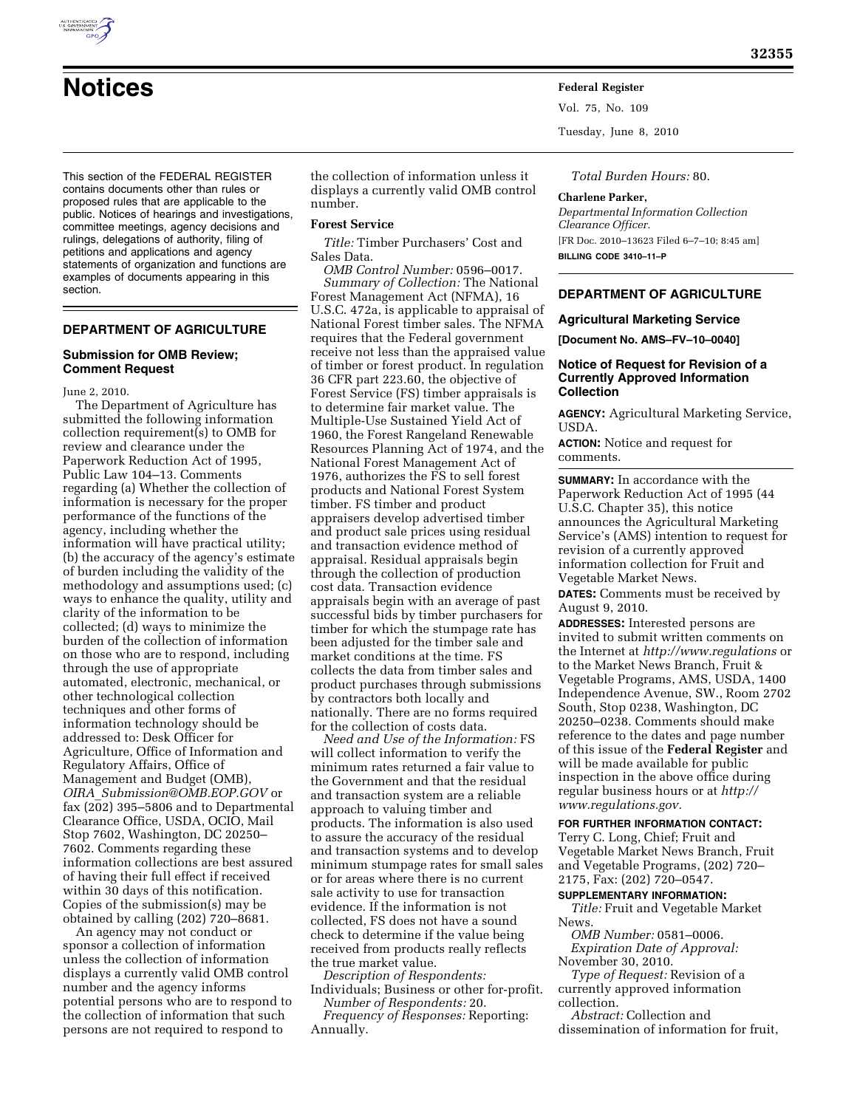

**Notices Federal Register** Vol. 75, No. 109 Tuesday, June 8, 2010

This section of the FEDERAL REGISTER contains documents other than rules or proposed rules that are applicable to the public. Notices of hearings and investigations, committee meetings, agency decisions and rulings, delegations of authority, filing of petitions and applications and agency statements of organization and functions are examples of documents appearing in this section.

# **DEPARTMENT OF AGRICULTURE**

### **Submission for OMB Review; Comment Request**

June 2, 2010.

The Department of Agriculture has submitted the following information collection requirement(s) to OMB for review and clearance under the Paperwork Reduction Act of 1995, Public Law 104–13. Comments regarding (a) Whether the collection of information is necessary for the proper performance of the functions of the agency, including whether the information will have practical utility; (b) the accuracy of the agency's estimate of burden including the validity of the methodology and assumptions used; (c) ways to enhance the quality, utility and clarity of the information to be collected; (d) ways to minimize the burden of the collection of information on those who are to respond, including through the use of appropriate automated, electronic, mechanical, or other technological collection techniques and other forms of information technology should be addressed to: Desk Officer for Agriculture, Office of Information and Regulatory Affairs, Office of Management and Budget (OMB), *OIRA*\_*Submission@OMB.EOP.GOV* or fax (202) 395–5806 and to Departmental Clearance Office, USDA, OCIO, Mail Stop 7602, Washington, DC 20250– 7602. Comments regarding these information collections are best assured of having their full effect if received within 30 days of this notification. Copies of the submission(s) may be obtained by calling (202) 720–8681.

An agency may not conduct or sponsor a collection of information unless the collection of information displays a currently valid OMB control number and the agency informs potential persons who are to respond to the collection of information that such persons are not required to respond to

the collection of information unless it displays a currently valid OMB control number.

#### **Forest Service**

*Title:* Timber Purchasers' Cost and Sales Data.

*OMB Control Number:* 0596–0017. *Summary of Collection:* The National Forest Management Act (NFMA), 16 U.S.C. 472a, is applicable to appraisal of National Forest timber sales. The NFMA requires that the Federal government receive not less than the appraised value of timber or forest product. In regulation 36 CFR part 223.60, the objective of Forest Service (FS) timber appraisals is to determine fair market value. The Multiple-Use Sustained Yield Act of 1960, the Forest Rangeland Renewable Resources Planning Act of 1974, and the National Forest Management Act of 1976, authorizes the FS to sell forest products and National Forest System timber. FS timber and product appraisers develop advertised timber and product sale prices using residual and transaction evidence method of appraisal. Residual appraisals begin through the collection of production cost data. Transaction evidence appraisals begin with an average of past successful bids by timber purchasers for timber for which the stumpage rate has been adjusted for the timber sale and market conditions at the time. FS collects the data from timber sales and product purchases through submissions by contractors both locally and nationally. There are no forms required for the collection of costs data.

*Need and Use of the Information:* FS will collect information to verify the minimum rates returned a fair value to the Government and that the residual and transaction system are a reliable approach to valuing timber and products. The information is also used to assure the accuracy of the residual and transaction systems and to develop minimum stumpage rates for small sales or for areas where there is no current sale activity to use for transaction evidence. If the information is not collected, FS does not have a sound check to determine if the value being received from products really reflects the true market value.

*Description of Respondents:*  Individuals; Business or other for-profit.

*Number of Respondents:* 20. *Frequency of Responses:* Reporting: Annually.

*Total Burden Hours:* 80.

#### **Charlene Parker,**

*Departmental Information Collection Clearance Officer.*  [FR Doc. 2010–13623 Filed 6–7–10; 8:45 am] **BILLING CODE 3410–11–P** 

### **DEPARTMENT OF AGRICULTURE**

#### **Agricultural Marketing Service**

**[Document No. AMS–FV–10–0040]** 

## **Notice of Request for Revision of a Currently Approved Information Collection**

**AGENCY:** Agricultural Marketing Service, USDA.

**ACTION:** Notice and request for comments.

**SUMMARY:** In accordance with the Paperwork Reduction Act of 1995 (44 U.S.C. Chapter 35), this notice announces the Agricultural Marketing Service's (AMS) intention to request for revision of a currently approved information collection for Fruit and Vegetable Market News.

**DATES:** Comments must be received by August 9, 2010.

**ADDRESSES:** Interested persons are invited to submit written comments on the Internet at *http://www.regulations* or to the Market News Branch, Fruit & Vegetable Programs, AMS, USDA, 1400 Independence Avenue, SW., Room 2702 South, Stop 0238, Washington, DC 20250–0238. Comments should make reference to the dates and page number of this issue of the **Federal Register** and will be made available for public inspection in the above office during regular business hours or at *http:// www.regulations.gov.* 

## **FOR FURTHER INFORMATION CONTACT:**

Terry C. Long, Chief; Fruit and Vegetable Market News Branch, Fruit and Vegetable Programs, (202) 720– 2175, Fax: (202) 720–0547.

#### **SUPPLEMENTARY INFORMATION:**

*Title:* Fruit and Vegetable Market News.

*OMB Number:* 0581–0006. *Expiration Date of Approval:* 

November 30, 2010. *Type of Request:* Revision of a currently approved information collection.

*Abstract:* Collection and dissemination of information for fruit,